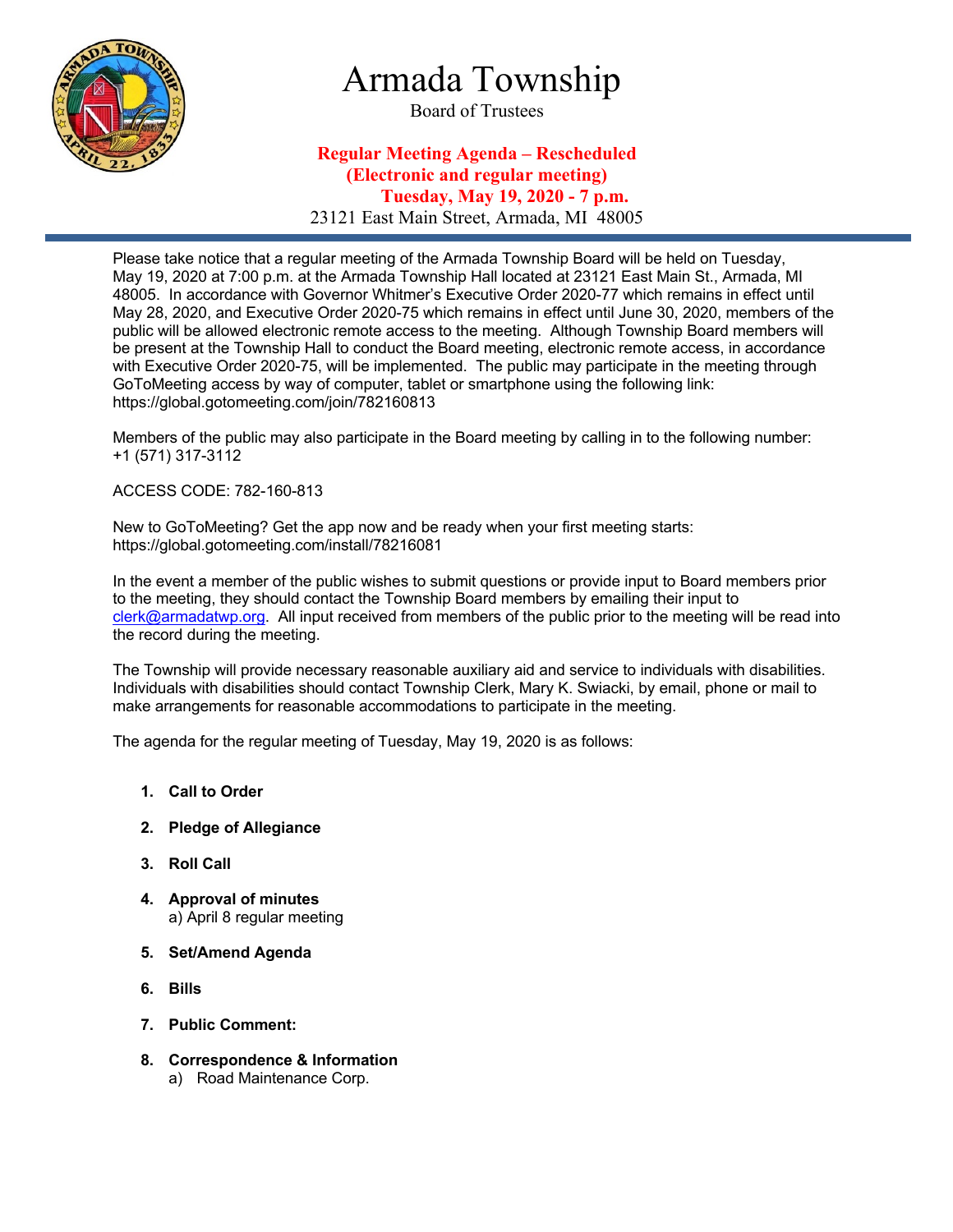

# Armada Township

Board of Trustees

# **Regular Meeting Agenda – Rescheduled (Electronic and regular meeting) Tuesday, May 19, 2020 - 7 p.m.** 23121 East Main Street, Armada, MI 48005

Please take notice that a regular meeting of the Armada Township Board will be held on Tuesday, May 19, 2020 at 7:00 p.m. at the Armada Township Hall located at 23121 East Main St., Armada, MI 48005. In accordance with Governor Whitmer's Executive Order 2020-77 which remains in effect until May 28, 2020, and Executive Order 2020-75 which remains in effect until June 30, 2020, members of the public will be allowed electronic remote access to the meeting. Although Township Board members will be present at the Township Hall to conduct the Board meeting, electronic remote access, in accordance with Executive Order 2020-75, will be implemented. The public may participate in the meeting through GoToMeeting access by way of computer, tablet or smartphone using the following link: https://global.gotomeeting.com/join/782160813

Members of the public may also participate in the Board meeting by calling in to the following number: +1 (571) 317-3112

### ACCESS CODE: 782-160-813

New to GoToMeeting? Get the app now and be ready when your first meeting starts: https://global.gotomeeting.com/install/78216081

In the event a member of the public wishes to submit questions or provide input to Board members prior to the meeting, they should contact the Township Board members by emailing their input to clerk@armadatwp.org. All input received from members of the public prior to the meeting will be read into the record during the meeting.

The Township will provide necessary reasonable auxiliary aid and service to individuals with disabilities. Individuals with disabilities should contact Township Clerk, Mary K. Swiacki, by email, phone or mail to make arrangements for reasonable accommodations to participate in the meeting.

The agenda for the regular meeting of Tuesday, May 19, 2020 is as follows:

- **1. Call to Order**
- **2. Pledge of Allegiance**
- **3. Roll Call**
- **4. Approval of minutes**  a) April 8 regular meeting
- **5. Set/Amend Agenda**
- **6. Bills**
- **7. Public Comment:**
- **8. Correspondence & Information**
	- a) Road Maintenance Corp.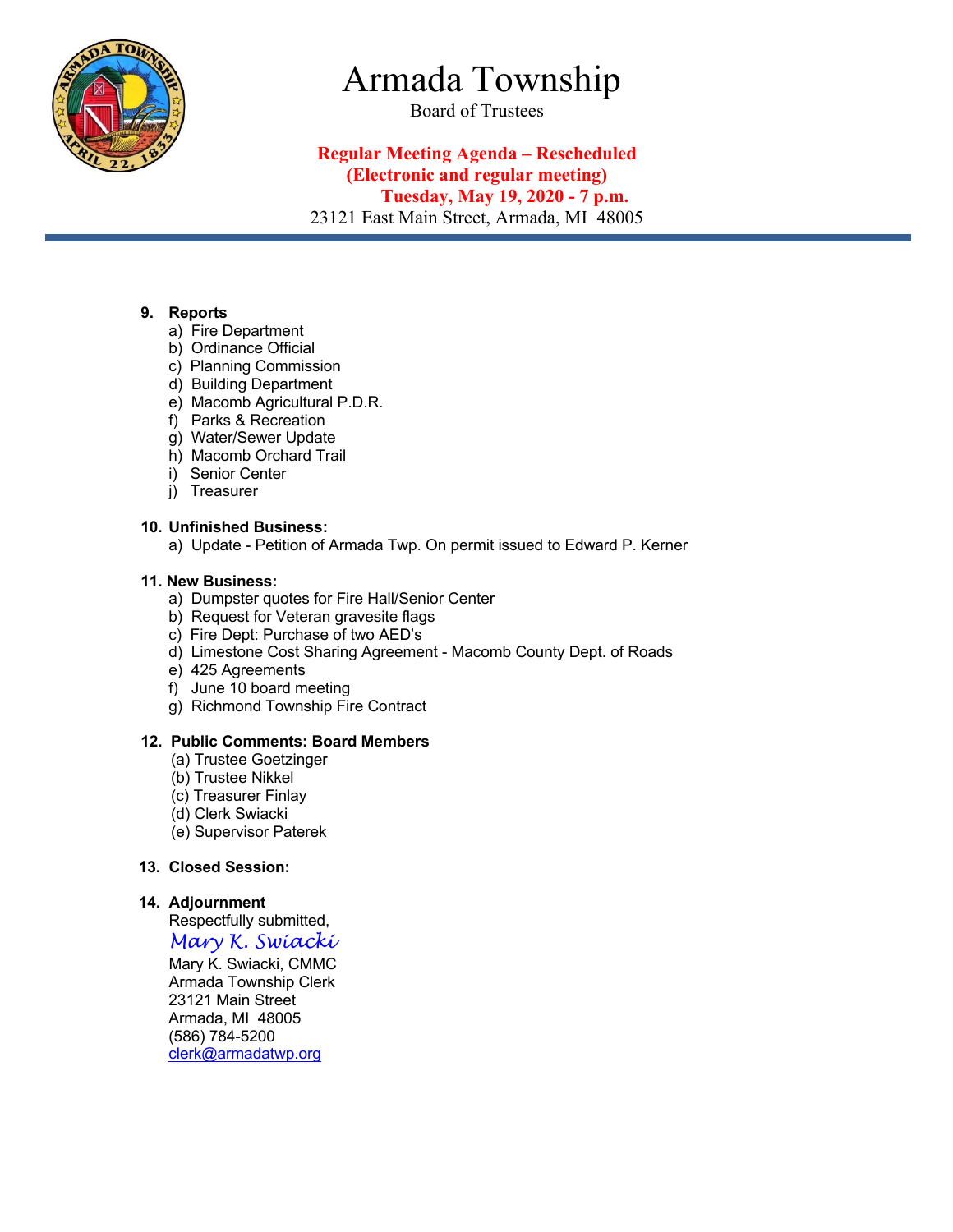

# Armada Township

Board of Trustees

# **Regular Meeting Agenda – Rescheduled (Electronic and regular meeting) Tuesday, May 19, 2020 - 7 p.m.** 23121 East Main Street, Armada, MI 48005

## **9. Reports**

- a) Fire Department
- b) Ordinance Official
- c) Planning Commission
- d) Building Department
- e) Macomb Agricultural P.D.R.
- f) Parks & Recreation
- g) Water/Sewer Update
- h) Macomb Orchard Trail
- i) Senior Center
- j) Treasurer

## **10. Unfinished Business:**

a) Update - Petition of Armada Twp. On permit issued to Edward P. Kerner

## **11. New Business:**

- a) Dumpster quotes for Fire Hall/Senior Center
- b) Request for Veteran gravesite flags
- c) Fire Dept: Purchase of two AED's
- d) Limestone Cost Sharing Agreement Macomb County Dept. of Roads
- e) 425 Agreements
- f) June 10 board meeting
- g) Richmond Township Fire Contract

### **12. Public Comments: Board Members**

- (a) Trustee Goetzinger
- (b) Trustee Nikkel
- (c) Treasurer Finlay
- (d) Clerk Swiacki
- (e) Supervisor Paterek

### **13. Closed Session:**

### **14. Adjournment**

 Respectfully submitted, *Mary K. Swiacki*

 Mary K. Swiacki, CMMC Armada Township Clerk 23121 Main Street Armada, MI 48005 (586) 784-5200 clerk@armadatwp.org